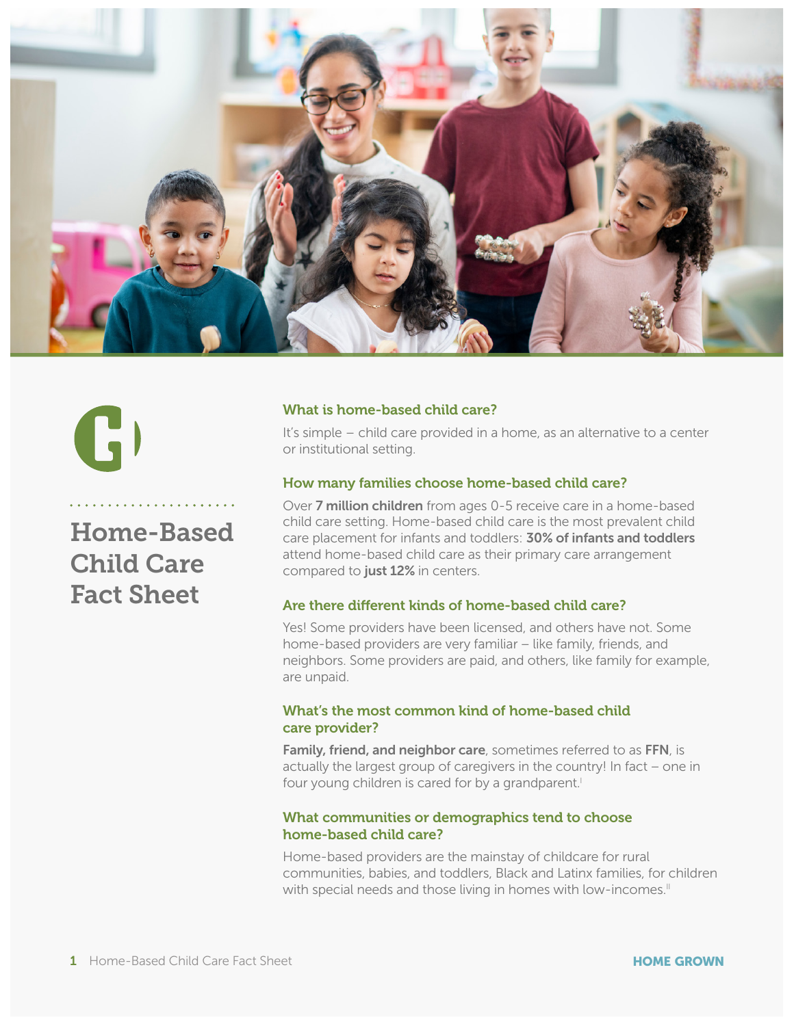

# 15)

Home-Based Child Care Fact Sheet

#### What is home-based child care?

It's simple – child care provided in a home, as an alternative to a center<br>or institutional setting. or institutional setting.

#### How many families choose home-based child care?

Over 7 million children from ages 0-5 receive care in a home-based child care setting. Home-based child care is the most prevalent child care placement for infants and toddlers: 30% of infants and toddlers attend home-based child care as their primary care arrangement compared to just 12% in centers.

#### Are there different kinds of home-based child care?

Yes! Some providers have been licensed, and others have not. Some home-based providers are very familiar – like family, friends, and neighbors. Some providers are paid, and others, like family for example, are unpaid.

#### What's the most common kind of home-based child care provider?

Family, friend, and neighbor care, sometimes referred to as FFN, is actually the largest group of caregivers in the country! In fact – one in four young children is cared for by a grandparent.<sup>1</sup>

#### What communities or demographics tend to choose home-based child care?

Home-based providers are the mainstay of childcare for rural communities, babies, and toddlers, Black and Latinx families, for children with special needs and those living in homes with low-incomes.<sup>11</sup>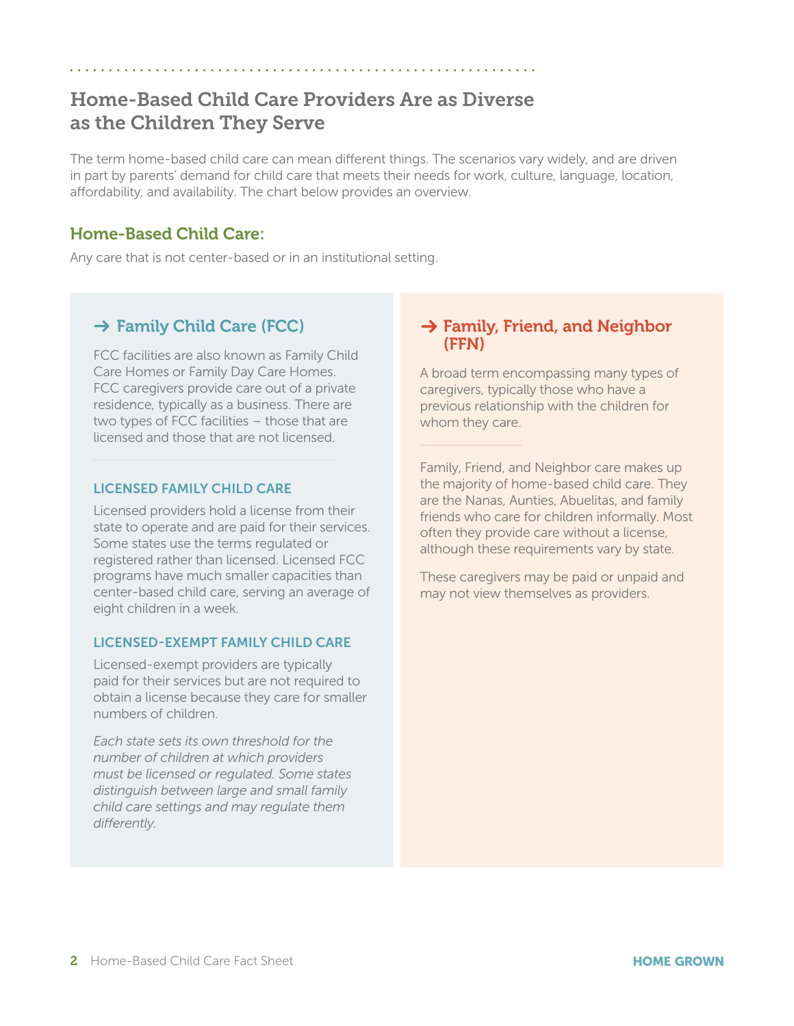# Home-Based Child Care Providers Are as Diverse as the Children They Serve

The term home-based child care can mean different things. The scenarios vary widely, and are driven in part by parents' demand for child care that meets their needs for work, culture, language, location, affordability, and availability. The chart below provides an overview.

## Home-Based Child Care:

Any care that is not center-based or in an institutional setting.

## $\rightarrow$  Family Child Care (FCC)

FCC facilities are also known as Family Child Care Homes or Family Day Care Homes. FCC caregivers provide care out of a private residence, typically as a business. There are two types of FCC facilities – those that are licensed and those that are not licensed.

#### LICENSED FAMILY CHILD CARE

Licensed providers hold a license from their state to operate and are paid for their services. Some states use the terms regulated or registered rather than licensed. Licensed FCC programs have much smaller capacities than center-based child care, serving an average of eight children in a week.

#### LICENSED-EXEMPT FAMILY CHILD CARE

Licensed-exempt providers are typically paid for their services but are not required to obtain a license because they care for smaller numbers of children.

*Each state sets its own threshold for the number of children at which providers must be licensed or regulated. Some states distinguish between large and small family child care settings and may regulate them differently.*

### $\rightarrow$  Family, Friend, and Neighbor (FFN)

A broad term encompassing many types of caregivers, typically those who have a previous relationship with the children for whom they care.

Family, Friend, and Neighbor care makes up the majority of home-based child care. They are the Nanas, Aunties, Abuelitas, and family friends who care for children informally. Most often they provide care without a license, although these requirements vary by state.

These caregivers may be paid or unpaid and may not view themselves as providers.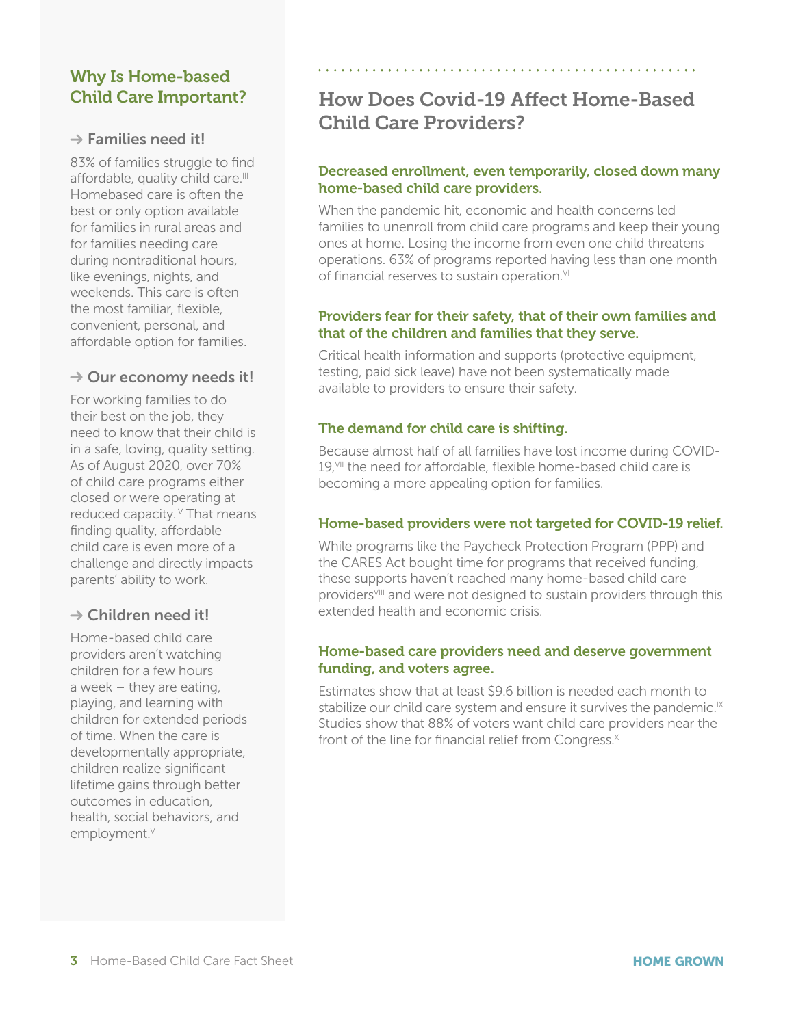## Why Is Home-based Child Care Important?

#### $\rightarrow$  Families need it!

83% of families struggle to find affordable, quality child care.<sup>III</sup> Homebased care is often the best or only option available for families in rural areas and for families needing care during nontraditional hours, like evenings, nights, and weekends. This care is often the most familiar, flexible, convenient, personal, and affordable option for families.

#### $\rightarrow$  Our economy needs it!

For working families to do their best on the job, they need to know that their child is in a safe, loving, quality setting. As of August 2020, over 70% of child care programs either closed or were operating at reduced capacity.<sup>IV</sup> That means finding quality, affordable child care is even more of a challenge and directly impacts parents' ability to work.

## $\rightarrow$  Children need it!

Home-based child care providers aren't watching children for a few hours a week – they are eating, playing, and learning with children for extended periods of time. When the care is developmentally appropriate, children realize significant lifetime gains through better outcomes in education, health, social behaviors, and employment.<sup>V</sup>

# How Does Covid-19 Affect Home-Based Child Care Providers?

#### Decreased enrollment, even temporarily, closed down many home-based child care providers.

When the pandemic hit, economic and health concerns led families to unenroll from child care programs and keep their young ones at home. Losing the income from even one child threatens operations. 63% of programs reported having less than one month of financial reserves to sustain operation.<sup>VI</sup>

#### Providers fear for their safety, that of their own families and that of the children and families that they serve.

Critical health information and supports (protective equipment, testing, paid sick leave) have not been systematically made available to providers to ensure their safety.

#### The demand for child care is shifting.

Because almost half of all families have lost income during COVID-19.<sup>VII</sup> the need for affordable, flexible home-based child care is becoming a more appealing option for families.

#### Home-based providers were not targeted for COVID-19 relief.

While programs like the Paycheck Protection Program (PPP) and the CARES Act bought time for programs that received funding, these supports haven't reached many home-based child care providers<sup>VIII</sup> and were not designed to sustain providers through this extended health and economic crisis.

#### Home-based care providers need and deserve government funding, and voters agree.

Estimates show that at least \$9.6 billion is needed each month to stabilize our child care system and ensure it survives the pandemic.<sup> $IX$ </sup> Studies show that 88% of voters want child care providers near the front of the line for financial relief from Congress. $X$